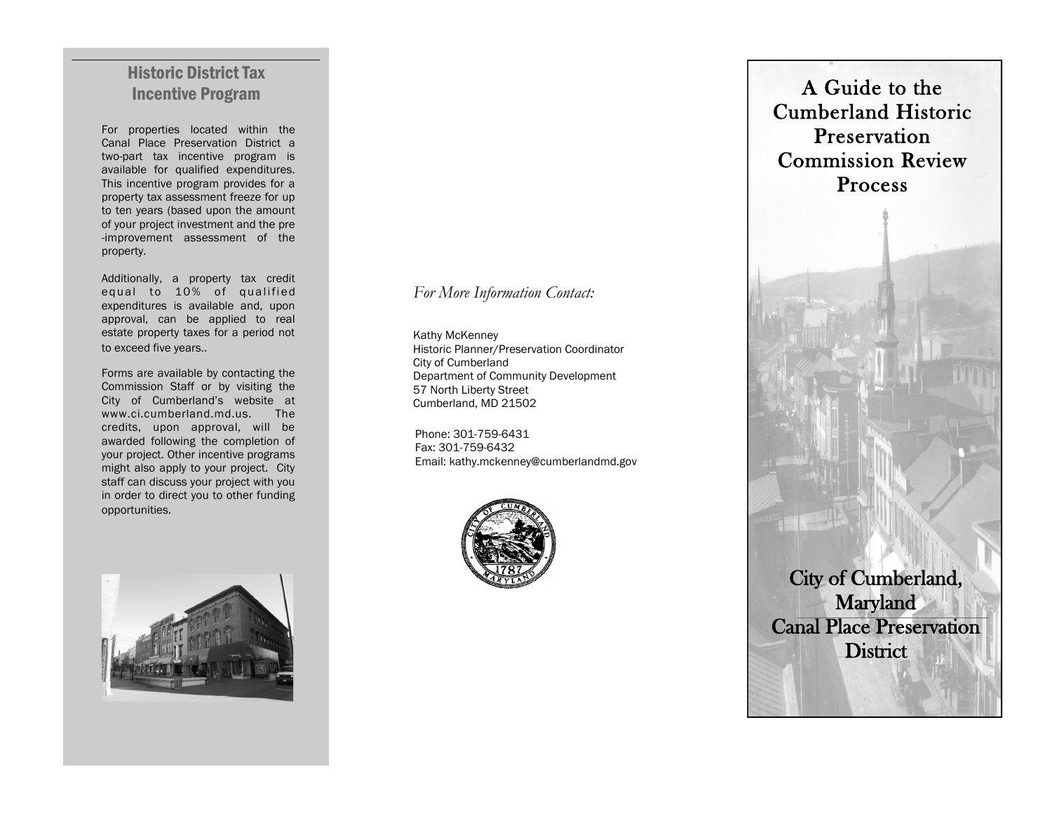## Historic District Tax Incentive Program

For properties located within the Canal Place Preservation District a two -part tax incentive program is available for qualified expenditures. This incentive program provides for a property tax assessment freeze for up to ten years (based upon the amount of your project investment and the pre -improvement assessment of the property.

Additionally, a property tax credit equal to 10% of qualified expenditures is available and, upon approval, can be applied to real estate property taxes for a period not to exceed five years..

Forms are available by contacting the Commission Staff or by visiting the City of Cumberland's website at www.ci.cumberland.md.us. The credits, upon approval, will be awarded following the completion of your project. Other incentive programs might also apply to your project. City staff can discuss your project with you in order to direct you to other funding opportunities.

#### *For More Information Contact:*

Kathy McKenney Historic Planner/Preservation Coordinator City of Cumberland Department of Community Development 57 North Liberty Street Cumberland, MD 21502

Phone: 301-759-6431 Fax: 301 -759 -6432 Email: kathy.mckenney@cumberlandmd.gov